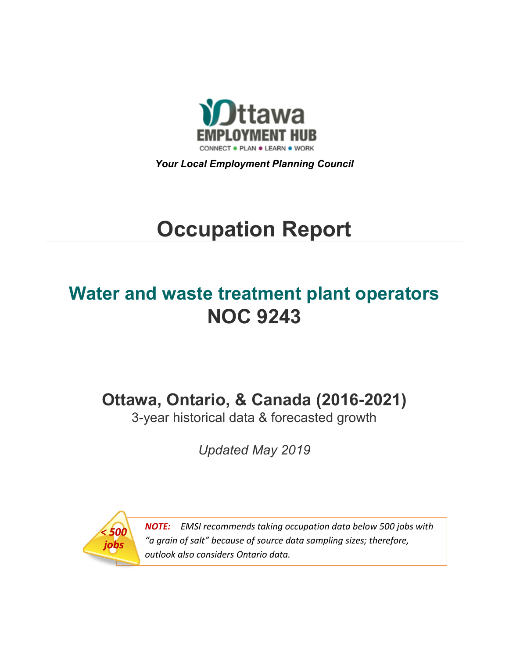

*Your Local Employment Planning Council*

# **Occupation Report**

## **Water and waste treatment plant operators NOC 9243**

**Ottawa, Ontario, & Canada (2016-2021)**

3-year historical data & forecasted growth

*Updated May 2019*



*NOTE: EMSI recommends taking occupation data below 500 jobs with "a grain of salt" because of source data sampling sizes; therefore, outlook also considers Ontario data.*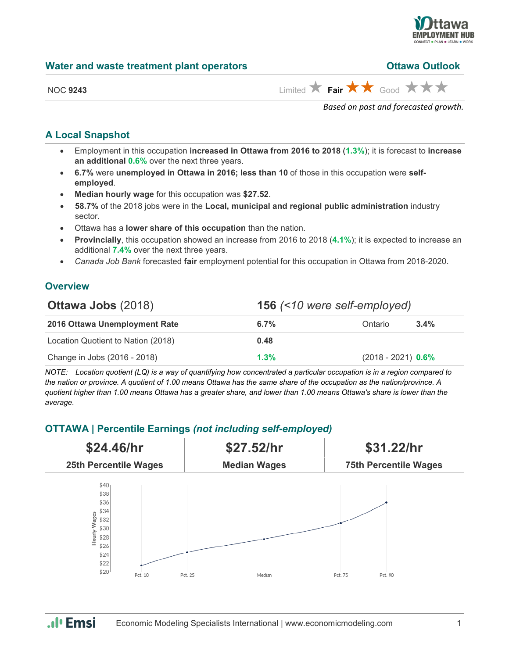

## **Water and waste treatment plant operators**

| <b>Ottawa Outlook</b> |  |
|-----------------------|--|
|                       |  |

| <b>NOC 9243</b> |
|-----------------|
|-----------------|

 $\lim_{x\to 0}$  **Fair**  $\bigstar$  **Fair**  $\bigstar$  Good  $\bigstar$  **F** 

*Based on past and forecasted growth.*

## **A Local Snapshot**

- Employment in this occupation **increased in Ottawa from 2016 to 2018** (**1.3%**); it is forecast to **increase an additional 0.6%** over the next three years.
- **6.7%** were **unemployed in Ottawa in 2016; less than 10** of those in this occupation were **selfemployed**.
- **Median hourly wage** for this occupation was **\$27.52**.
- **58.7%** of the 2018 jobs were in the **Local, municipal and regional public administration** industry sector.
- Ottawa has a **lower share of this occupation** than the nation.
- **Provincially**, this occupation showed an increase from 2016 to 2018 (**4.1%**); it is expected to increase an additional **7.4%** over the next three years.
- *Canada Job Bank* forecasted **fair** employment potential for this occupation in Ottawa from 2018-2020.

## **Overview**

| <b>Ottawa Jobs (2018)</b>          | <b>156</b> (<10 were self-employed) |                      |  |
|------------------------------------|-------------------------------------|----------------------|--|
| 2016 Ottawa Unemployment Rate      | $6.7\%$                             | $3.4\%$<br>Ontario   |  |
| Location Quotient to Nation (2018) | 0.48                                |                      |  |
| Change in Jobs (2016 - 2018)       | $1.3\%$                             | $(2018 - 2021)$ 0.6% |  |

*NOTE: Location quotient (LQ) is a way of quantifying how concentrated a particular occupation is in a region compared to the nation or province. A quotient of 1.00 means Ottawa has the same share of the occupation as the nation/province. A quotient higher than 1.00 means Ottawa has a greater share, and lower than 1.00 means Ottawa's share is lower than the average.*

## **OTTAWA | Percentile Earnings** *(not including self-employed)*



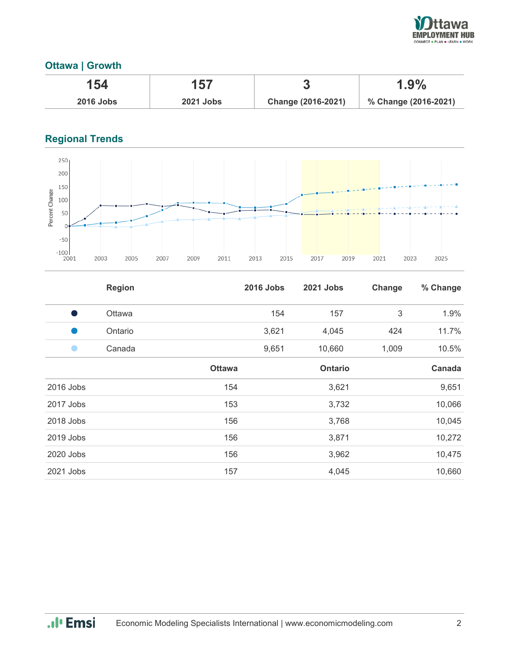

## **Ottawa | Growth**

| 154              | 157              | œ                  | $1.9\%$              |
|------------------|------------------|--------------------|----------------------|
| <b>2016 Jobs</b> | <b>2021 Jobs</b> | Change (2016-2021) | % Change (2016-2021) |

## **Regional Trends**



|           | <b>Region</b> |               | <b>2016 Jobs</b> | <b>2021 Jobs</b> | Change | % Change |
|-----------|---------------|---------------|------------------|------------------|--------|----------|
| s,        | Ottawa        |               | 154              | 157              | 3      | 1.9%     |
|           | Ontario       |               | 3,621            | 4,045            | 424    | 11.7%    |
|           | Canada        |               | 9,651            | 10,660           | 1,009  | 10.5%    |
|           |               | <b>Ottawa</b> |                  | <b>Ontario</b>   |        | Canada   |
| 2016 Jobs |               | 154           |                  | 3,621            |        | 9,651    |
| 2017 Jobs |               | 153           |                  | 3,732            |        | 10,066   |
| 2018 Jobs |               | 156           |                  | 3,768            |        | 10,045   |
| 2019 Jobs |               | 156           |                  | 3,871            |        | 10,272   |
| 2020 Jobs |               | 156           |                  | 3,962            |        | 10,475   |
| 2021 Jobs |               | 157           |                  | 4,045            |        | 10,660   |

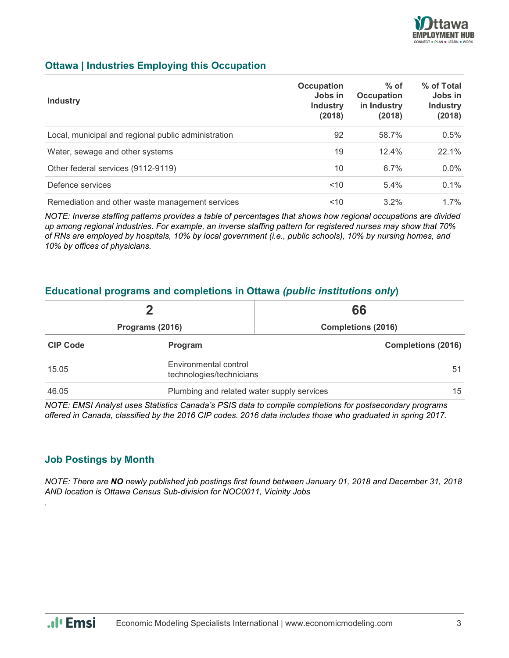

## **Ottawa | Industries Employing this Occupation**

| <b>Industry</b>                                     | Occupation<br>Jobs in<br><b>Industry</b><br>(2018) | $%$ of<br><b>Occupation</b><br>in Industry<br>(2018) | % of Total<br>Jobs in<br><b>Industry</b><br>(2018) |
|-----------------------------------------------------|----------------------------------------------------|------------------------------------------------------|----------------------------------------------------|
| Local, municipal and regional public administration | 92                                                 | 58.7%                                                | 0.5%                                               |
| Water, sewage and other systems                     | 19                                                 | 12.4%                                                | 22.1%                                              |
| Other federal services (9112-9119)                  | 10                                                 | 6.7%                                                 | $0.0\%$                                            |
| Defence services                                    | $<$ 10                                             | 5.4%                                                 | 0.1%                                               |
| Remediation and other waste management services     | $10^{-1}$                                          | $3.2\%$                                              | $1.7\%$                                            |

*NOTE: Inverse staffing patterns provides a table of percentages that shows how regional occupations are divided up among regional industries. For example, an inverse staffing pattern for registered nurses may show that 70% of RNs are employed by hospitals, 10% by local government (i.e., public schools), 10% by nursing homes, and 10% by offices of physicians.*

## **Educational programs and completions in Ottawa** *(public institutions only***)**

| Programs (2016) |                                                   | 66                        |
|-----------------|---------------------------------------------------|---------------------------|
|                 |                                                   | <b>Completions (2016)</b> |
| <b>CIP Code</b> | Program                                           | <b>Completions (2016)</b> |
| 15.05           | Environmental control<br>technologies/technicians |                           |
| 46.05           | 15<br>Plumbing and related water supply services  |                           |

*NOTE: EMSI Analyst uses Statistics Canada's PSIS data to compile completions for postsecondary programs offered in Canada, classified by the 2016 CIP codes. 2016 data includes those who graduated in spring 2017.*

## **Job Postings by Month**

*NOTE: There are NO newly published job postings first found between January 01, 2018 and December 31, 2018 AND location is Ottawa Census Sub-division for NOC0011, Vicinity Jobs*



*.*